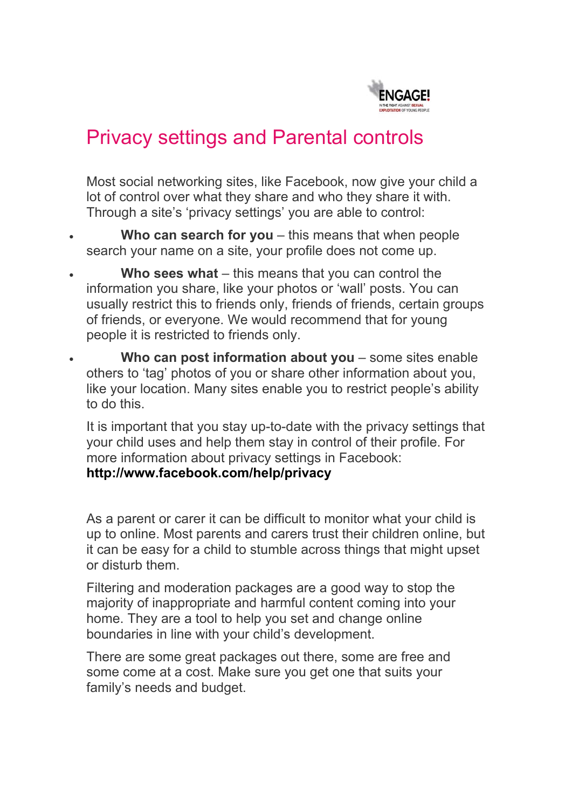

# Privacy settings and Parental controls

Most social networking sites, like Facebook, now give your child a lot of control over what they share and who they share it with. Through a site's 'privacy settings' you are able to control:

- **Who can search for you** this means that when people search your name on a site, your profile does not come up.
- **Who sees what** this means that you can control the information you share, like your photos or 'wall' posts. You can usually restrict this to friends only, friends of friends, certain groups of friends, or everyone. We would recommend that for young people it is restricted to friends only.
- **Who can post information about you** some sites enable others to 'tag' photos of you or share other information about you, like your location. Many sites enable you to restrict people's ability to do this.

It is important that you stay up-to-date with the privacy settings that your child uses and help them stay in control of their profile. For more information about privacy settings in Facebook: **http://www.facebook.com/help/privacy**

As a parent or carer it can be difficult to monitor what your child is up to online. Most parents and carers trust their children online, but it can be easy for a child to stumble across things that might upset or disturb them.

Filtering and moderation packages are a good way to stop the majority of inappropriate and harmful content coming into your home. They are a tool to help you set and change online boundaries in line with your child's development.

There are some great packages out there, some are free and some come at a cost. Make sure you get one that suits your family's needs and budget.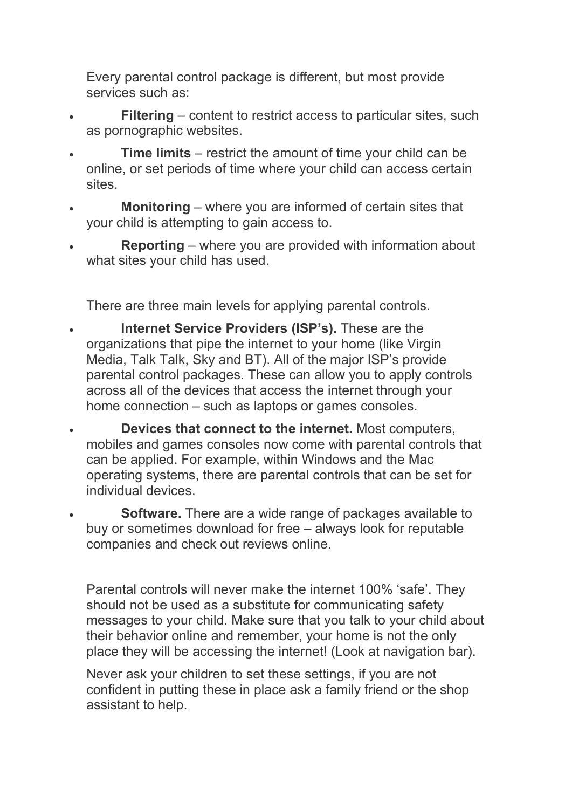Every parental control package is different, but most provide services such as:

- **Filtering** content to restrict access to particular sites, such as pornographic websites.
- **Time limits** restrict the amount of time your child can be online, or set periods of time where your child can access certain sites.
- **Monitoring** where you are informed of certain sites that your child is attempting to gain access to.
- **Reporting** where you are provided with information about what sites your child has used.

There are three main levels for applying parental controls.

- **Internet Service Providers (ISP's).** These are the organizations that pipe the internet to your home (like Virgin Media, Talk Talk, Sky and BT). All of the major ISP's provide parental control packages. These can allow you to apply controls across all of the devices that access the internet through your home connection – such as laptops or games consoles.
- **Devices that connect to the internet.** Most computers, mobiles and games consoles now come with parental controls that can be applied. For example, within Windows and the Mac operating systems, there are parental controls that can be set for individual devices.
- **Software.** There are a wide range of packages available to buy or sometimes download for free – always look for reputable companies and check out reviews online.

Parental controls will never make the internet 100% 'safe'. They should not be used as a substitute for communicating safety messages to your child. Make sure that you talk to your child about their behavior online and remember, your home is not the only place they will be accessing the internet! (Look at navigation bar).

Never ask your children to set these settings, if you are not confident in putting these in place ask a family friend or the shop assistant to help.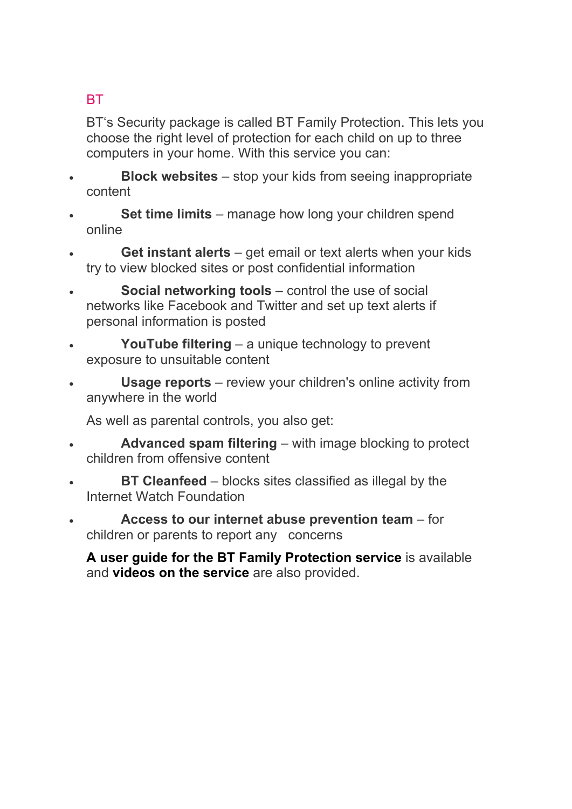## **BT**

BT's Security package is called BT Family Protection. This lets you choose the right level of protection for each child on up to three computers in your home. With this service you can:

- **Block websites** stop your kids from seeing inappropriate content
- **Set time limits**  manage how long your children spend online
- **Get instant alerts** get email or text alerts when your kids try to view blocked sites or post confidential information
- **Social networking tools** control the use of social networks like Facebook and Twitter and set up text alerts if personal information is posted
- **YouTube filtering** a unique technology to prevent exposure to unsuitable content
- **Usage reports** review your children's online activity from anywhere in the world

As well as parental controls, you also get:

- **Advanced spam filtering** with image blocking to protect children from offensive content
- **BT Cleanfeed** blocks sites classified as illegal by the Internet Watch Foundation
- **Access to our internet abuse prevention team** for children or parents to report any concerns

**A user guide for the BT Family Protection service** is available and **videos on the service** are also provided.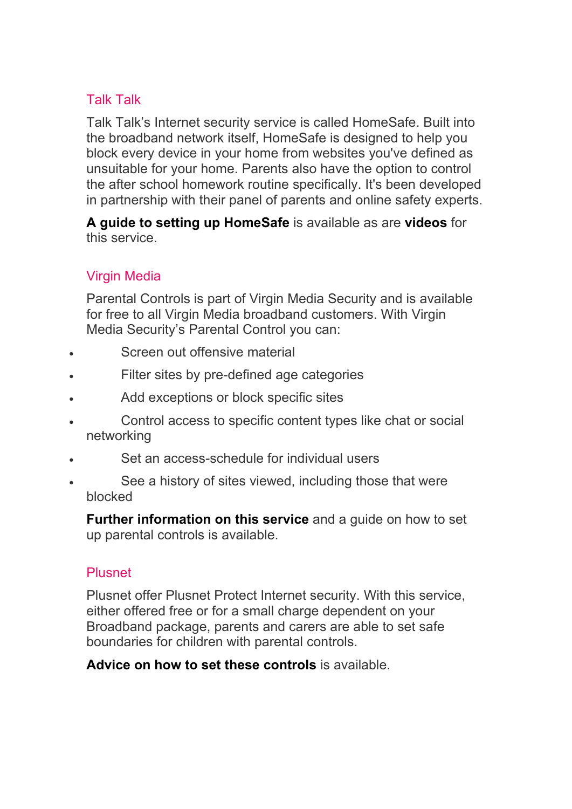### Talk Talk

Talk Talk's Internet security service is called HomeSafe. Built into the broadband network itself, HomeSafe is designed to help you block every device in your home from websites you've defined as unsuitable for your home. Parents also have the option to control the after school homework routine specifically. It's been developed in partnership with their panel of parents and online safety experts.

**A guide to setting up HomeSafe** is available as are **videos** for this service.

## Virgin Media

Parental Controls is part of Virgin Media Security and is available for free to all Virgin Media broadband customers. With Virgin Media Security's Parental Control you can:

- Screen out offensive material
- Filter sites by pre-defined age categories
- Add exceptions or block specific sites
- Control access to specific content types like chat or social networking
- Set an access-schedule for individual users
- See a history of sites viewed, including those that were blocked

**Further information on this service** and a guide on how to set up parental controls is available.

### Plusnet

Plusnet offer Plusnet Protect Internet security. With this service, either offered free or for a small charge dependent on your Broadband package, parents and carers are able to set safe boundaries for children with parental controls.

**Advice on how to set these controls** is available.